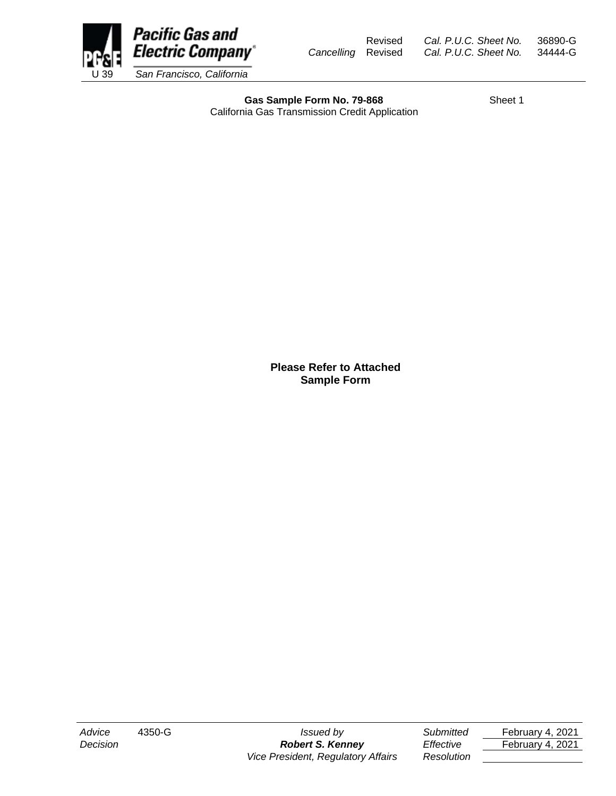

Revised *Cal. P.U.C. Sheet No.* 36890-G *Cancelling* Revised *Cal. P.U.C. Sheet No.* 34444-G

Gas Sample Form No. 79-868 Sheet 1 California Gas Transmission Credit Application

> **Please Refer to Attached Sample Form**

*Vice President, Regulatory Affairs Resolution*

*Advice* 4350-G *Issued by Submitted* February 4, 2021 *Decision Robert S. Kenney Effective* February 4, 2021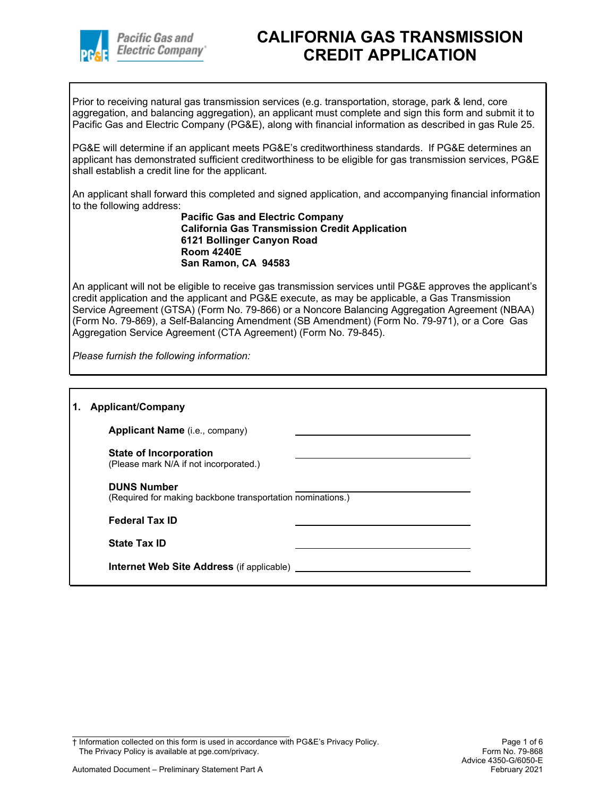

Prior to receiving natural gas transmission services (e.g. transportation, storage, park & lend, core aggregation, and balancing aggregation), an applicant must complete and sign this form and submit it to Pacific Gas and Electric Company (PG&E), along with financial information as described in gas Rule 25.

PG&E will determine if an applicant meets PG&E's creditworthiness standards. If PG&E determines an applicant has demonstrated sufficient creditworthiness to be eligible for gas transmission services, PG&E shall establish a credit line for the applicant.

An applicant shall forward this completed and signed application, and accompanying financial information to the following address:

> **Pacific Gas and Electric Company California Gas Transmission Credit Application 6121 Bollinger Canyon Road Room 4240E San Ramon, CA 94583**

An applicant will not be eligible to receive gas transmission services until PG&E approves the applicant's credit application and the applicant and PG&E execute, as may be applicable, a Gas Transmission Service Agreement (GTSA) (Form No. 79-866) or a Noncore Balancing Aggregation Agreement (NBAA) (Form No. 79-869), a Self-Balancing Amendment (SB Amendment) (Form No. 79-971), or a Core Gas Aggregation Service Agreement (CTA Agreement) (Form No. 79-845).

*Please furnish the following information:*

| <b>Applicant/Company</b>                                                         |  |
|----------------------------------------------------------------------------------|--|
| Applicant Name (i.e., company)                                                   |  |
| <b>State of Incorporation</b><br>(Please mark N/A if not incorporated.)          |  |
| <b>DUNS Number</b><br>(Required for making backbone transportation nominations.) |  |
| <b>Federal Tax ID</b>                                                            |  |
| <b>State Tax ID</b>                                                              |  |
| <b>Internet Web Site Address (if applicable)</b>                                 |  |

† Information collected on this form is used in accordance with PG&E's Privacy Policy. Page 1 of 6 The Privacy Policy is available at pge.com/privacy.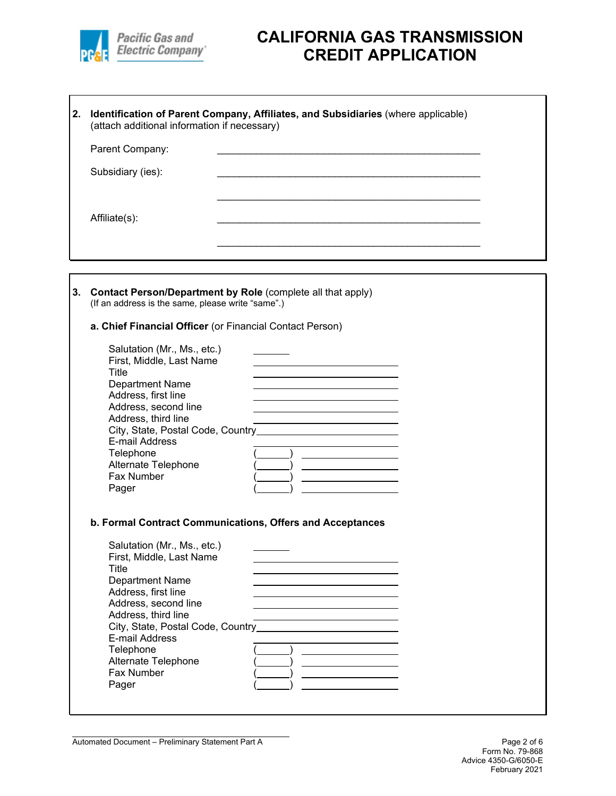

| 2. | (attach additional information if necessary)                                                                                                                                                                                                          | Identification of Parent Company, Affiliates, and Subsidiaries (where applicable)                                                                                           |  |
|----|-------------------------------------------------------------------------------------------------------------------------------------------------------------------------------------------------------------------------------------------------------|-----------------------------------------------------------------------------------------------------------------------------------------------------------------------------|--|
|    | Parent Company:                                                                                                                                                                                                                                       |                                                                                                                                                                             |  |
|    | Subsidiary (ies):                                                                                                                                                                                                                                     |                                                                                                                                                                             |  |
|    |                                                                                                                                                                                                                                                       |                                                                                                                                                                             |  |
|    | Affiliate(s):                                                                                                                                                                                                                                         |                                                                                                                                                                             |  |
|    |                                                                                                                                                                                                                                                       |                                                                                                                                                                             |  |
|    |                                                                                                                                                                                                                                                       |                                                                                                                                                                             |  |
| 3. | Contact Person/Department by Role (complete all that apply)<br>(If an address is the same, please write "same".)                                                                                                                                      |                                                                                                                                                                             |  |
|    | a. Chief Financial Officer (or Financial Contact Person)                                                                                                                                                                                              |                                                                                                                                                                             |  |
|    | Salutation (Mr., Ms., etc.)<br>First, Middle, Last Name<br><b>Title</b><br>Department Name<br>Address, first line<br>Address, second line<br>Address, third line<br>E-mail Address<br>Telephone<br>Alternate Telephone<br>Fax Number<br>Pager         | the contract of the contract of the contract of the contract of the contract of<br>City, State, Postal Code, Country City, State, Country City, State, Postal Code, Country |  |
|    | b. Formal Contract Communications, Offers and Acceptances                                                                                                                                                                                             |                                                                                                                                                                             |  |
|    | Salutation (Mr., Ms., etc.)<br>First, Middle, Last Name<br>Title<br>Department Name<br>Address, first line<br>Address, second line<br>Address, third line<br>City, State, Postal Code, Country_<br>E-mail Address<br>Telephone<br>Alternate Telephone |                                                                                                                                                                             |  |
|    | Fax Number<br>Pager                                                                                                                                                                                                                                   |                                                                                                                                                                             |  |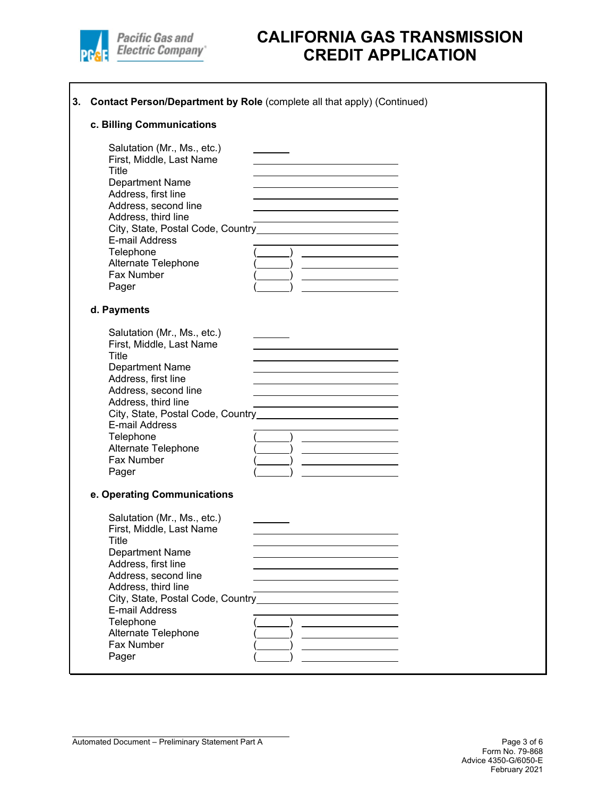

| 3. |                                                                                                                                                                                                                                                                                            | Contact Person/Department by Role (complete all that apply) (Continued)                                                                                          |
|----|--------------------------------------------------------------------------------------------------------------------------------------------------------------------------------------------------------------------------------------------------------------------------------------------|------------------------------------------------------------------------------------------------------------------------------------------------------------------|
|    | c. Billing Communications                                                                                                                                                                                                                                                                  |                                                                                                                                                                  |
|    | Salutation (Mr., Ms., etc.)<br>First, Middle, Last Name<br>Title<br><b>Department Name</b><br>Address, first line<br>Address, second line<br>Address, third line<br>E-mail Address<br>Telephone<br>Alternate Telephone<br>Fax Number<br>Pager                                              | <u> 1989 - Johann Stein, mars an t-Amerikaansk kommunister (</u><br>City, State, Postal Code, Country <b>Calcular Control City</b> , State, Postal Code, Country |
|    | d. Payments                                                                                                                                                                                                                                                                                |                                                                                                                                                                  |
|    | Salutation (Mr., Ms., etc.)<br>First, Middle, Last Name<br>Title<br><b>Department Name</b><br>Address, first line<br>Address, second line<br>Address, third line<br>E-mail Address<br>Telephone<br>Alternate Telephone<br>Fax Number<br>Pager                                              | the contract of the contract of the contract of                                                                                                                  |
|    | e. Operating Communications                                                                                                                                                                                                                                                                |                                                                                                                                                                  |
|    | Salutation (Mr., Ms., etc.)<br>First, Middle, Last Name<br><u>l</u> itle<br><b>Department Name</b><br>Address, first line<br>Address, second line<br>Address, third line<br>City, State, Postal Code, Country<br>E-mail Address<br>Telephone<br>Alternate Telephone<br>Fax Number<br>Pager |                                                                                                                                                                  |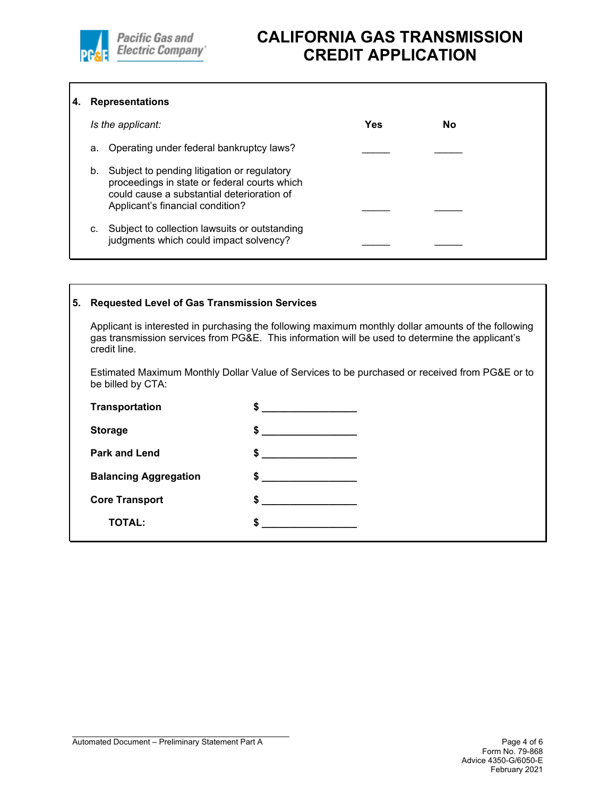

#### **4. Representations**

| Is the applicant:                                                                                                                                                                   | Yes | No |  |
|-------------------------------------------------------------------------------------------------------------------------------------------------------------------------------------|-----|----|--|
| Operating under federal bankruptcy laws?<br>а.                                                                                                                                      |     |    |  |
| Subject to pending litigation or regulatory<br>b.<br>proceedings in state or federal courts which<br>could cause a substantial deterioration of<br>Applicant's financial condition? |     |    |  |
| Subject to collection lawsuits or outstanding<br>c.<br>judgments which could impact solvency?                                                                                       |     |    |  |

### **5. Requested Level of Gas Transmission Services**

Applicant is interested in purchasing the following maximum monthly dollar amounts of the following gas transmission services from PG&E. This information will be used to determine the applicant's credit line.

Estimated Maximum Monthly Dollar Value of Services to be purchased or received from PG&E or to be billed by CTA:

| <b>Transportation</b>        | \$                                                 |  |
|------------------------------|----------------------------------------------------|--|
| <b>Storage</b>               | \$<br>the control of the control of the control of |  |
| <b>Park and Lend</b>         | \$<br>the control of the control of the control of |  |
| <b>Balancing Aggregation</b> | $\frac{1}{2}$                                      |  |
| <b>Core Transport</b>        | \$                                                 |  |
| <b>TOTAL:</b>                | S                                                  |  |
|                              |                                                    |  |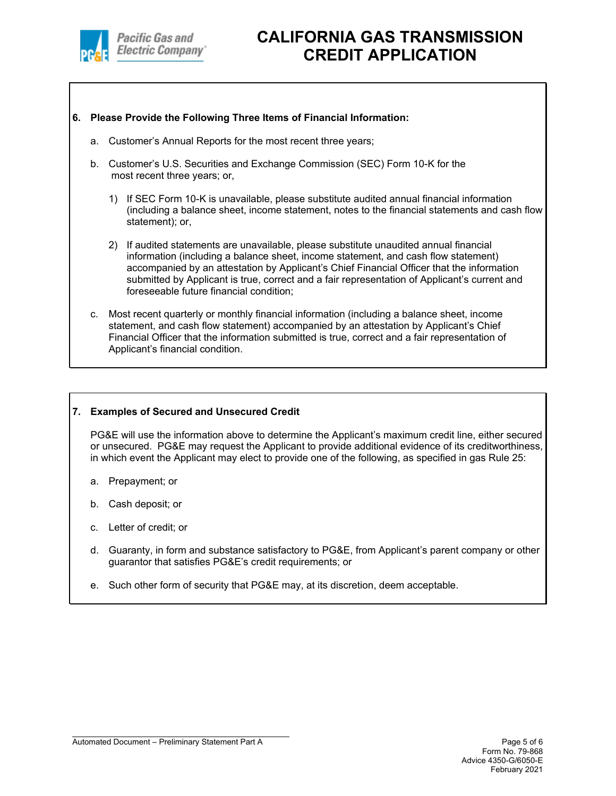

#### **6. Please Provide the Following Three Items of Financial Information:**

- a. Customer's Annual Reports for the most recent three years;
- b. Customer's U.S. Securities and Exchange Commission (SEC) Form 10-K for the most recent three years; or,
	- 1) If SEC Form 10-K is unavailable, please substitute audited annual financial information (including a balance sheet, income statement, notes to the financial statements and cash flow statement); or,
	- 2) If audited statements are unavailable, please substitute unaudited annual financial information (including a balance sheet, income statement, and cash flow statement) accompanied by an attestation by Applicant's Chief Financial Officer that the information submitted by Applicant is true, correct and a fair representation of Applicant's current and foreseeable future financial condition;
- c. Most recent quarterly or monthly financial information (including a balance sheet, income statement, and cash flow statement) accompanied by an attestation by Applicant's Chief Financial Officer that the information submitted is true, correct and a fair representation of Applicant's financial condition.

## **7. Examples of Secured and Unsecured Credit**

PG&E will use the information above to determine the Applicant's maximum credit line, either secured or unsecured. PG&E may request the Applicant to provide additional evidence of its creditworthiness, in which event the Applicant may elect to provide one of the following, as specified in gas Rule 25:

- a. Prepayment; or
- b. Cash deposit; or
- c. Letter of credit; or
- d. Guaranty, in form and substance satisfactory to PG&E, from Applicant's parent company or other guarantor that satisfies PG&E's credit requirements; or
- e. Such other form of security that PG&E may, at its discretion, deem acceptable.